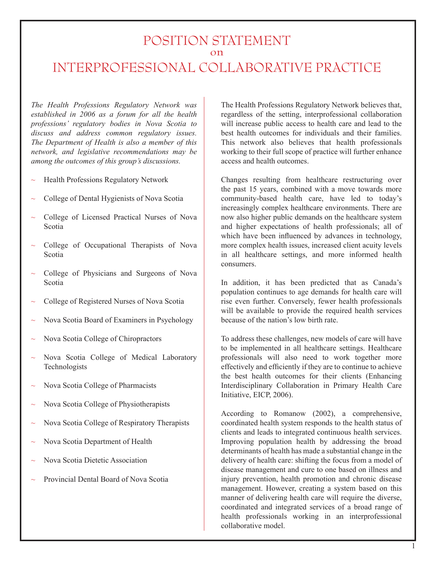# POSITION STATEMENT  $\frac{6}{\pi}$ INTERPROFESSIONAL COLLABORATIVE PRACTICE

*The Health Professions Regulatory Network was established in 2006 as a forum for all the health professions' regulatory bodies in Nova Scotia to discuss and address common regulatory issues. The Department of Health is also a member of this network, and legislative recommendations may be among the outcomes of this group's discussions.* 

- Health Professions Regulatory Network ~
- College of Dental Hygienists of Nova Scotia  $\overline{ }$
- College of Licensed Practical Nurses of Nova Scotia ~
- College of Occupational Therapists of Nova Scotia  $\overline{ }$
- College of Physicians and Surgeons of Nova Scotia ~
- College of Registered Nurses of Nova Scotia ~
- Nova Scotia Board of Examiners in Psychology ~
- Nova Scotia College of Chiropractors  $\overline{ }$
- Nova Scotia College of Medical Laboratory Technologists ~
- Nova Scotia College of Pharmacists  $\overline{ }$
- Nova Scotia College of Physiotherapists ~
- Nova Scotia College of Respiratory Therapists ~
- Nova Scotia Department of Health ~
- Nova Scotia Dietetic Association ~
- Provincial Dental Board of Nova Scotia ~

The Health Professions Regulatory Network believes that, regardless of the setting, interprofessional collaboration will increase public access to health care and lead to the best health outcomes for individuals and their families. This network also believes that health professionals working to their full scope of practice will further enhance access and health outcomes.

Changes resulting from healthcare restructuring over the past 15 years, combined with a move towards more community-based health care, have led to today's increasingly complex healthcare environments. There are now also higher public demands on the healthcare system and higher expectations of health professionals; all of which have been influenced by advances in technology, more complex health issues, increased client acuity levels in all healthcare settings, and more informed health consumers.

In addition, it has been predicted that as Canada's population continues to age demands for health care will rise even further. Conversely, fewer health professionals will be available to provide the required health services because of the nation's low birth rate.

To address these challenges, new models of care will have to be implemented in all healthcare settings. Healthcare professionals will also need to work together more effectively and efficiently if they are to continue to achieve the best health outcomes for their clients (Enhancing Interdisciplinary Collaboration in Primary Health Care Initiative, EICP, 2006).

According to Romanow (2002), a comprehensive, coordinated health system responds to the health status of clients and leads to integrated continuous health services. Improving population health by addressing the broad determinants of health has made a substantial change in the delivery of health care: shifting the focus from a model of disease management and cure to one based on illness and injury prevention, health promotion and chronic disease management. However, creating a system based on this manner of delivering health care will require the diverse, coordinated and integrated services of a broad range of health professionals working in an interprofessional collaborative model.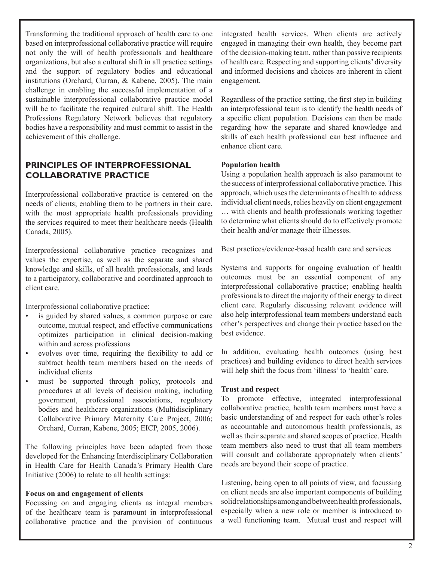Transforming the traditional approach of health care to one based on interprofessional collaborative practice will require not only the will of health professionals and healthcare organizations, but also a cultural shift in all practice settings and the support of regulatory bodies and educational institutions (Orchard, Curran, & Kabene, 2005). The main challenge in enabling the successful implementation of a sustainable interprofessional collaborative practice model will be to facilitate the required cultural shift. The Health Professions Regulatory Network believes that regulatory bodies have a responsibility and must commit to assist in the achievement of this challenge.

# **PRINCIPLES OF INTERPROFESSIONAL COLLABORATIVE PRACTICE**

Interprofessional collaborative practice is centered on the needs of clients; enabling them to be partners in their care, with the most appropriate health professionals providing the services required to meet their healthcare needs (Health Canada, 2005).

Interprofessional collaborative practice recognizes and values the expertise, as well as the separate and shared knowledge and skills, of all health professionals, and leads to a participatory, collaborative and coordinated approach to client care.

Interprofessional collaborative practice:

- is guided by shared values, a common purpose or care outcome, mutual respect, and effective communications optimizes participation in clinical decision-making within and across professions •
- evolves over time, requiring the flexibility to add or subtract health team members based on the needs of individual clients •
- must be supported through policy, protocols and procedures at all levels of decision making, including government, professional associations, regulatory bodies and healthcare organizations (Multidisciplinary Collaborative Primary Maternity Care Project, 2006; Orchard, Curran, Kabene, 2005; EICP, 2005, 2006). •

The following principles have been adapted from those developed for the Enhancing Interdisciplinary Collaboration in Health Care for Health Canada's Primary Health Care Initiative (2006) to relate to all health settings:

## **Focus on and engagement of clients**

Focussing on and engaging clients as integral members of the healthcare team is paramount in interprofessional collaborative practice and the provision of continuous integrated health services. When clients are actively engaged in managing their own health, they become part of the decision-making team, rather than passive recipients of health care. Respecting and supporting clients' diversity and informed decisions and choices are inherent in client engagement.

Regardless of the practice setting, the first step in building an interprofessional team is to identify the health needs of a specific client population. Decisions can then be made regarding how the separate and shared knowledge and skills of each health professional can best influence and enhance client care.

## **Population health**

Using a population health approach is also paramount to the success of interprofessional collaborative practice. This approach, which uses the determinants of health to address individual client needs, relies heavily on client engagement … with clients and health professionals working together to determine what clients should do to effectively promote their health and/or manage their illnesses.

Best practices/evidence-based health care and services

Systems and supports for ongoing evaluation of health outcomes must be an essential component of any interprofessional collaborative practice; enabling health professionals to direct the majority of their energy to direct client care. Regularly discussing relevant evidence will also help interprofessional team members understand each other's perspectives and change their practice based on the best evidence.

In addition, evaluating health outcomes (using best practices) and building evidence to direct health services will help shift the focus from 'illness' to 'health' care.

## **Trust and respect**

To promote effective, integrated interprofessional collaborative practice, health team members must have a basic understanding of and respect for each other's roles as accountable and autonomous health professionals, as well as their separate and shared scopes of practice. Health team members also need to trust that all team members will consult and collaborate appropriately when clients' needs are beyond their scope of practice.

Listening, being open to all points of view, and focussing on client needs are also important components of building solid relationships among and between health professionals, especially when a new role or member is introduced to a well functioning team. Mutual trust and respect will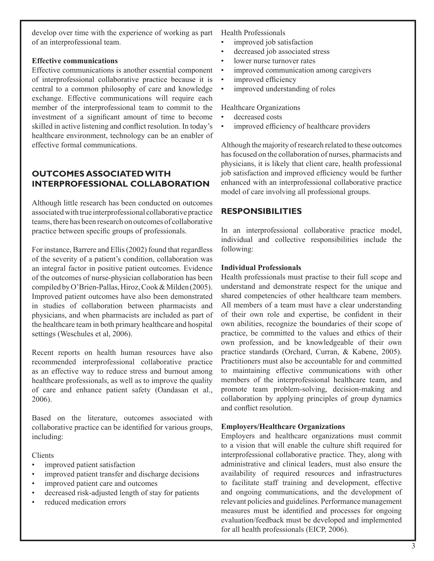develop over time with the experience of working as part Health Professionals of an interprofessional team.

### **Effective communications**

Effective communications is another essential component of interprofessional collaborative practice because it is central to a common philosophy of care and knowledge exchange. Effective communications will require each member of the interprofessional team to commit to the investment of a significant amount of time to become skilled in active listening and conflict resolution. In today's healthcare environment, technology can be an enabler of effective formal communications.

# **OUTCOMES ASSOCIATED WITH INTERPROFESSIONAL COLLABORATION**

Although little research has been conducted on outcomes associated with true interprofessional collaborative practice teams, there has been research on outcomes of collaborative practice between specific groups of professionals.

For instance, Barrere and Ellis (2002) found that regardless of the severity of a patient's condition, collaboration was an integral factor in positive patient outcomes. Evidence of the outcomes of nurse-physician collaboration has been compiled by O'Brien-Pallas, Hiroz, Cook & Milden (2005). Improved patient outcomes have also been demonstrated in studies of collaboration between pharmacists and physicians, and when pharmacists are included as part of the healthcare team in both primary healthcare and hospital settings (Weschules et al, 2006).

Recent reports on health human resources have also recommended interprofessional collaborative practice as an effective way to reduce stress and burnout among healthcare professionals, as well as to improve the quality of care and enhance patient safety (Oandasan et al., 2006).

Based on the literature, outcomes associated with collaborative practice can be identified for various groups, including:

#### Clients

- improved patient satisfaction •
- improved patient transfer and discharge decisions •
- improved patient care and outcomes •
- decreased risk-adjusted length of stay for patients •
- reduced medication errors •

- improved job satisfaction •
- decreased job associated stress •
- lower nurse turnover rates •
- improved communication among caregivers •
- improved efficiency •
- improved understanding of roles •

Healthcare Organizations

- decreased costs •
- improved efficiency of healthcare providers •

Although the majority of research related to these outcomes has focused on the collaboration of nurses, pharmacists and physicians, it is likely that client care, health professional job satisfaction and improved efficiency would be further enhanced with an interprofessional collaborative practice model of care involving all professional groups.

## **RESPONSIBILITIES**

In an interprofessional collaborative practice model, individual and collective responsibilities include the following:

## **Individual Professionals**

Health professionals must practise to their full scope and understand and demonstrate respect for the unique and shared competencies of other healthcare team members. All members of a team must have a clear understanding of their own role and expertise, be confident in their own abilities, recognize the boundaries of their scope of practice, be committed to the values and ethics of their own profession, and be knowledgeable of their own practice standards (Orchard, Curran, & Kabene, 2005). Practitioners must also be accountable for and committed to maintaining effective communications with other members of the interprofessional healthcare team, and promote team problem-solving, decision-making and collaboration by applying principles of group dynamics and conflict resolution.

## **Employers/Healthcare Organizations**

Employers and healthcare organizations must commit to a vision that will enable the culture shift required for interprofessional collaborative practice. They, along with administrative and clinical leaders, must also ensure the availability of required resources and infrastructures to facilitate staff training and development, effective and ongoing communications, and the development of relevant policies and guidelines. Performance management measures must be identified and processes for ongoing evaluation/feedback must be developed and implemented for all health professionals (EICP, 2006).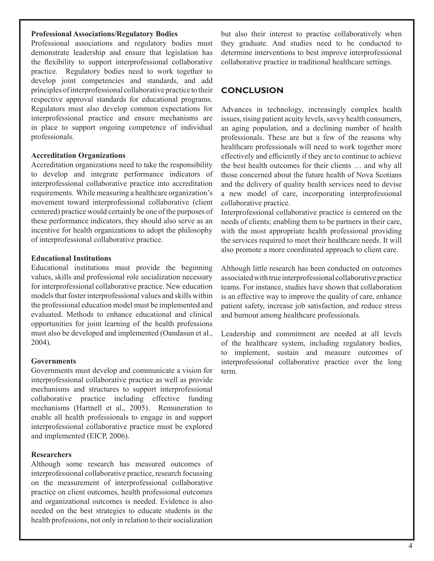#### **Professional Associations/Regulatory Bodies**

Professional associations and regulatory bodies must demonstrate leadership and ensure that legislation has the flexibility to support interprofessional collaborative practice. Regulatory bodies need to work together to develop joint competencies and standards, and add principles of interprofessional collaborative practice to their respective approval standards for educational programs. Regulators must also develop common expectations for interprofessional practice and ensure mechanisms are in place to support ongoing competence of individual professionals.

#### **Accreditation Organizations**

Accreditation organizations need to take the responsibility to develop and integrate performance indicators of interprofessional collaborative practice into accreditation requirements. While measuring a healthcare organization's movement toward interprofessional collaborative (client centered) practice would certainly be one of the purposes of these performance indicators, they should also serve as an incentive for health organizations to adopt the philosophy of interprofessional collaborative practice.

#### **Educational Institutions**

Educational institutions must provide the beginning values, skills and professional role socialization necessary for interprofessional collaborative practice. New education models that foster interprofessional values and skills within the professional education model must be implemented and evaluated. Methods to enhance educational and clinical opportunities for joint learning of the health professions must also be developed and implemented (Oandasun et al., 2004).

#### **Governments**

Governments must develop and communicate a vision for interprofessional collaborative practice as well as provide mechanisms and structures to support interprofessional collaborative practice including effective funding mechanisms (Hartnell et al., 2005). Remuneration to enable all health professionals to engage in and support interprofessional collaborative practice must be explored and implemented (EICP, 2006).

#### **Researchers**

Although some research has measured outcomes of interprofessional collaborative practice, research focussing on the measurement of interprofessional collaborative practice on client outcomes, health professional outcomes and organizational outcomes is needed. Evidence is also needed on the best strategies to educate students in the health professions, not only in relation to their socialization

but also their interest to practise collaboratively when they graduate. And studies need to be conducted to determine interventions to best improve interprofessional collaborative practice in traditional healthcare settings.

## **CONCLUSION**

Advances in technology, increasingly complex health issues, rising patient acuity levels, savvy health consumers, an aging population, and a declining number of health professionals. These are but a few of the reasons why healthcare professionals will need to work together more effectively and efficiently if they are to continue to achieve the best health outcomes for their clients … and why all those concerned about the future health of Nova Scotians and the delivery of quality health services need to devise a new model of care, incorporating interprofessional collaborative practice.

Interprofessional collaborative practice is centered on the needs of clients; enabling them to be partners in their care, with the most appropriate health professional providing the services required to meet their healthcare needs. It will also promote a more coordinated approach to client care.

Although little research has been conducted on outcomes associated with true interprofessional collaborative practice teams. For instance, studies have shown that collaboration is an effective way to improve the quality of care, enhance patient safety, increase job satisfaction, and reduce stress and burnout among healthcare professionals.

Leadership and commitment are needed at all levels of the healthcare system, including regulatory bodies, to implement, sustain and measure outcomes of interprofessional collaborative practice over the long term.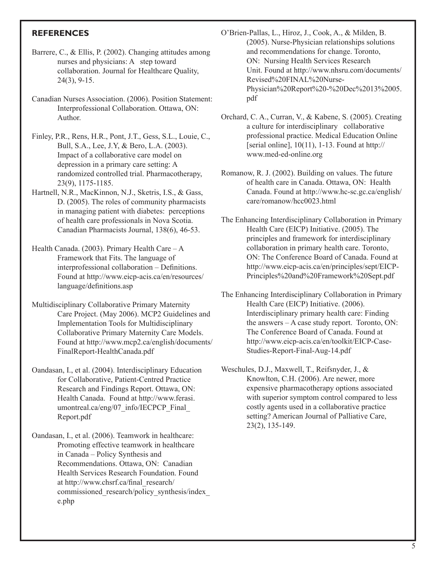# **REFERENCES**

- Barrere, C., & Ellis, P. (2002). Changing attitudes among nurses and physicians: A step toward collaboration. Journal for Healthcare Quality, 24(3), 9-15.
- Canadian Nurses Association. (2006). Position Statement: Interprofessional Collaboration. Ottawa, ON: Author.
- Finley, P.R., Rens, H.R., Pont, J.T., Gess, S.L., Louie, C., Bull, S.A., Lee, J.Y, & Bero, L.A. (2003). Impact of a collaborative care model on depression in a primary care setting: A randomized controlled trial. Pharmacotherapy, 23(9), 1175-1185.
- Hartnell, N.R., MacKinnon, N.J., Sketris, I.S., & Gass, D. (2005). The roles of community pharmacists in managing patient with diabetes: perceptions of health care professionals in Nova Scotia. Canadian Pharmacists Journal, 138(6), 46-53.
- Health Canada. (2003). Primary Health Care A Framework that Fits. The language of interprofessional collaboration – Definitions. Found at http://www.eicp-acis.ca/en/resources/ language/definitions.asp
- Multidisciplinary Collaborative Primary Maternity Care Project. (May 2006). MCP2 Guidelines and Implementation Tools for Multidisciplinary Collaborative Primary Maternity Care Models. Found at http://www.mcp2.ca/english/documents/ FinalReport-HealthCanada.pdf
- Oandasan, I., et al. (2004). Interdisciplinary Education for Collaborative, Patient-Centred Practice Research and Findings Report. Ottawa, ON: Health Canada. Found at http://www.ferasi. umontreal.ca/eng/07\_info/IECPCP\_Final Report.pdf
- Oandasan, I., et al. (2006). Teamwork in healthcare: Promoting effective teamwork in healthcare in Canada – Policy Synthesis and Recommendations. Ottawa, ON: Canadian Health Services Research Foundation. Found at http://www.chsrf.ca/final\_research/ commissioned\_research/policy\_synthesis/index\_ e.php
- O'Brien-Pallas, L., Hiroz, J., Cook, A., & Milden, B. (2005). Nurse-Physician relationships solutions and recommendations for change. Toronto, ON: Nursing Health Services Research Unit. Found at http://www.nhsru.com/documents/ Revised%20FINAL%20Nurse- Physician%20Report%20-%20Dec%2013%2005. pdf
- Orchard, C. A., Curran, V., & Kabene, S. (2005). Creating a culture for interdisciplinary collaborative professional practice. Medical Education Online [serial online],  $10(11)$ , 1-13. Found at http:// www.med-ed-online.org
- Romanow, R. J. (2002). Building on values. The future of health care in Canada. Ottawa, ON: Health Canada. Found at http://www.hc-sc.gc.ca/english/ care/romanow/hcc0023.html
- The Enhancing Interdisciplinary Collaboration in Primary Health Care (EICP) Initiative. (2005). The principles and framework for interdisciplinary collaboration in primary health care. Toronto, ON: The Conference Board of Canada. Found at http://www.eicp-acis.ca/en/principles/sept/EICP- Principles%20and%20Framework%20Sept.pdf
- The Enhancing Interdisciplinary Collaboration in Primary Health Care (EICP) Initiative. (2006). Interdisciplinary primary health care: Finding the answers – A case study report. Toronto, ON: The Conference Board of Canada. Found at http://www.eicp-acis.ca/en/toolkit/EICP-Case- Studies-Report-Final-Aug-14.pdf
- Weschules, D.J., Maxwell, T., Reifsnyder, J., & Knowlton, C.H. (2006). Are newer, more expensive pharmacotherapy options associated with superior symptom control compared to less costly agents used in a collaborative practice setting? American Journal of Palliative Care, 23(2), 135-149.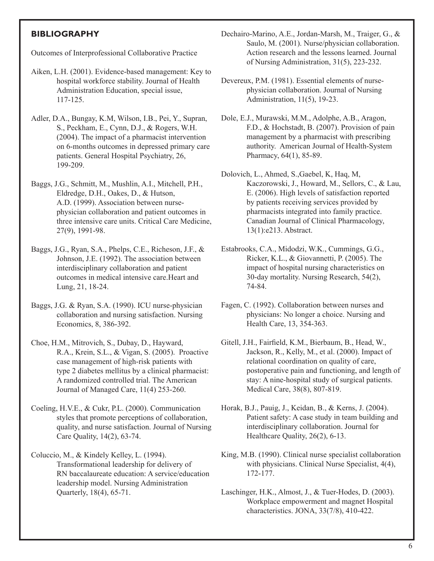## **BIBLIOGRAPHY**

Outcomes of Interprofessional Collaborative Practice

- Aiken, L.H. (2001). Evidence-based management: Key to hospital workforce stability. Journal of Health Administration Education, special issue, 117-125.
- Adler, D.A., Bungay, K.M, Wilson, I.B., Pei, Y., Supran, S., Peckham, E., Cynn, D.J., & Rogers, W.H. (2004). The impact of a pharmacist intervention on 6-months outcomes in depressed primary care patients. General Hospital Psychiatry, 26, 199-209.
- Baggs, J.G., Schmitt, M., Mushlin, A.I., Mitchell, P.H., Eldredge, D.H., Oakes, D., & Hutson, A.D. (1999). Association between nurse physician collaboration and patient outcomes in three intensive care units. Critical Care Medicine, 27(9), 1991-98.
- Baggs, J.G., Ryan, S.A., Phelps, C.E., Richeson, J.F., & Johnson, J.E. (1992). The association between interdisciplinary collaboration and patient outcomes in medical intensive care.Heart and Lung, 21, 18-24.
- Baggs, J.G. & Ryan, S.A. (1990). ICU nurse-physician collaboration and nursing satisfaction. Nursing Economics, 8, 386-392.
- Choe, H.M., Mitrovich, S., Dubay, D., Hayward, R.A., Krein, S.L., & Vigan, S. (2005). Proactive case management of high-risk patients with type 2 diabetes mellitus by a clinical pharmacist: A randomized controlled trial. The American Journal of Managed Care, 11(4) 253-260.
- Coeling, H.V.E., & Cukr, P.L. (2000). Communication styles that promote perceptions of collaboration, quality, and nurse satisfaction. Journal of Nursing Care Quality, 14(2), 63-74.
- Coluccio, M., & Kindely Kelley, L. (1994). Transformational leadership for delivery of RN baccalaureate education: A service/education leadership model. Nursing Administration Quarterly, 18(4), 65-71.
- Dechairo-Marino, A.E., Jordan-Marsh, M., Traiger, G., & Saulo, M. (2001). Nurse/physician collaboration. Action research and the lessons learned. Journal of Nursing Administration, 31(5), 223-232.
- Devereux, P.M. (1981). Essential elements of nurse physician collaboration. Journal of Nursing Administration, 11(5), 19-23.
- Dole, E.J., Murawski, M.M., Adolphe, A.B., Aragon, F.D., & Hochstadt, B. (2007). Provision of pain management by a pharmacist with prescribing authority. American Journal of Health-System Pharmacy, 64(1), 85-89.
- Dolovich, L., Ahmed, S.,Gaebel, K, Haq, M, Kaczorowski, J., Howard, M., Sellors, C., & Lau, E. (2006). High levels of satisfaction reported by patients receiving services provided by pharmacists integrated into family practice. Canadian Journal of Clinical Pharmacology, 13(1):e213. Abstract.
- Estabrooks, C.A., Midodzi, W.K., Cummings, G.G., Ricker, K.L., & Giovannetti, P. (2005). The impact of hospital nursing characteristics on 30-day mortality. Nursing Research, 54(2), 74-84.
- Fagen, C. (1992). Collaboration between nurses and physicians: No longer a choice. Nursing and Health Care, 13, 354-363.
- Gitell, J.H., Fairfield, K.M., Bierbaum, B., Head, W., Jackson, R., Kelly, M., et al. (2000). Impact of relational coordination on quality of care, postoperative pain and functioning, and length of stay: A nine-hospital study of surgical patients. Medical Care, 38(8), 807-819.
- Horak, B.J., Pauig, J., Keidan, B., & Kerns, J. (2004). Patient safety: A case study in team building and interdisciplinary collaboration. Journal for Healthcare Quality, 26(2), 6-13.
- King, M.B. (1990). Clinical nurse specialist collaboration with physicians. Clinical Nurse Specialist, 4(4), 172-177.
- Laschinger, H.K., Almost, J., & Tuer-Hodes, D. (2003). Workplace empowerment and magnet Hospital characteristics. JONA, 33(7/8), 410-422.